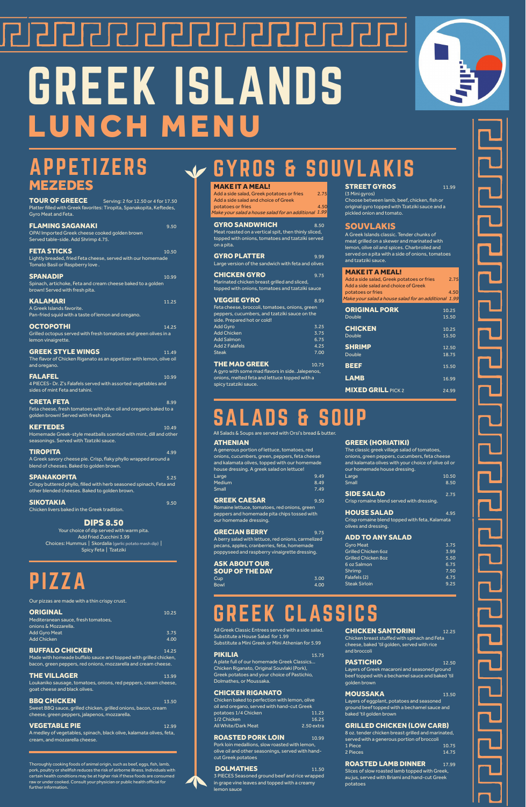# <u> 2121212121212122222</u> GREEK ISLANDS LUNCH MENU



<u>こててて</u>

# MEZEDES

TOUR OF GREECE Serving: 2 for 12.50 or 4 for 17.50 Platter filled with Greek favorites: Tiropita, Spanakopita, Keftedes, Gyro Meat and Feta.

| <b>FLAMING SAGANAKI</b><br>OPA! Imported Greek cheese cooked golden brown<br>Served table-side. Add Shrimp 4.75.                           | 9.50  |
|--------------------------------------------------------------------------------------------------------------------------------------------|-------|
| <b>FETA STICKS</b><br>Lightly breaded, fried Feta cheese, served with our homemade<br>Tomato Basil or Raspberry love.                      | 10.50 |
| <b>SPANADIP</b><br>Spinach, artichoke, Feta and cream cheese baked to a golden<br>brown! Served with fresh pita.                           | 10.99 |
| <b>KALAMARI</b><br>A Greek Islands favorite.<br>Pan-fried squid with a taste of lemon and oregano.                                         | 11.25 |
| <b>OCTOPOTHI</b><br>Grilled octopus served with fresh tomatoes and green olives in a<br>lemon vinaigrette.                                 | 14.25 |
| <b>GREEK STYLE WINGS</b><br>The flavor of Chicken Riganato as an appetizer with lemon, olive oil<br>and oregano.                           | 11.49 |
| <b>FALAFEL</b><br>4 PIECES- Dr. Z's Falafels served with assorted vegetables and<br>sides of mint Feta and tahini.                         | 10.99 |
| <b>CRETA FETA</b><br>Feta cheese, fresh tomatoes with olive oil and oregano baked to a<br>golden brown! Served with fresh pita.            | 8.99  |
| <b>KEFTEDES</b><br>Homemade Greek-style meatballs scented with mint, dill and other<br>seasonings. Served with Tzatziki sauce.             | 10.49 |
| TIROPITA<br>A Greek savory cheese pie. Crisp, flaky phyllo wrapped around a<br>blend of cheeses. Baked to golden brown.                    | 4.99  |
| <b>SPANAKOPITA</b><br>Crispy buttered phyllo, filled with herb seasoned spinach, Feta and<br>other blended cheeses. Baked to golden brown. | 5.25  |
| SIKOTAKIA<br>Chicken livers baked in the Greek tradition.                                                                                  | 9.50  |
| <b>DIPS 8.50</b><br>Your choice of dip served with warm pita.                                                                              |       |

GREEK CAESAR 9.50 Romaine lettuce, tomatoes, red onions, green peppers and homemade pita chips tossed with our homemade dressing.

GRECIAN BERRY 9.75 A berry salad with lettuce, red onions, carmelized pecans, apples, cranberries, feta, homemade poppyseed and raspberry vinaigrette dressing.

ASK ABOUT OUR **SOUP OF THE DAY**<br>Cup

Cup 3.00 Bowl 4.00 SIDE SALAD 2.75 Crisp romaine blend served with dressing.

#### **HOUSE SALAD** 4.95

MAKE IT A MEAL! Add a side salad, Greek potatoes or fries 2.75<br>Add a side salad and choice of Greek potatoes or fries

Make your salad a house salad for an additional 1.99

**GYRO SANDWHICH** 8.50 Meat roasted on a vertical spit, then thinly sliced, topped with onions, tomatoes and tzatziki served on a pita.

GYRO PLATTER 9.99 Large version of the sandwich with feta and olives

**CHICKEN GYRO** 9.75 Marinated chicken breast grilled and sliced, topped with onions, tomatoes and tzatziki sauce

Add Fried Zucchini 3.99 Choices: Hummus | Skordalia (garlic potato mash dip) | Spicy Feta | Tzatziki

#### ATHENIAN

A generous portion of lettuce, tomatoes, red onions, cucumbers, green, peppers, feta cheese and kalamata olives, topped with our homemade house dressing. A greek salad on lettuce! Large 1990 and 1990 and 1990 and 1990 and 1990 and 1990 and 1990 and 1990 and 1990 and 1990 and 1990 and 1990 Medium 8.49 و 1.49 و 1.49 و 1.49 و 1.49 و 1.49 و 1.49 و 1.49 و 1.49 و 1.49 و 1.49 و 1.49 و 1.49 و 1.<br>المراجع العربي العربي العربي العربي العربي العربي العربي العربي العربي العربي العربي العربي العربي العربي العر Small 7.49

Chicken baked to perfection with lemon, olive oil and oregano, served with hand-cut Greek potatoes 1/4 Chicken 11.25<br>1/2 Chicken 16.25

#### GREEK (HORIATIKI)

| The classic greek village salad of tomatoes,         |       |
|------------------------------------------------------|-------|
| onions, green peppers, cucumbers, feta cheese        |       |
| and kalamata olives with your choice of olive oil or |       |
| our homemade house dressing.                         |       |
| Large                                                | 10.50 |
| <b>Small</b>                                         | 8.50  |
|                                                      |       |

Crisp romaine blend topped with feta, Kalamata olives and dressing.

#### ADD TO ANY SALAD

| ADD TO ANT JALAD           |      |
|----------------------------|------|
| <b>Gyro Meat</b>           | 3.75 |
| Grilled Chicken 6oz        | 3.99 |
| <b>Grilled Chicken 8oz</b> | 5.50 |
| 6 oz Salmon                | 6.75 |
| Shrimp                     | 7.50 |
| Falafels (2)               | 4.75 |
| <b>Steak Sirloin</b>       | 9.25 |
|                            |      |

4.50

**THE VILLAGER** 13.99 Loukaniko sausage, tomatoes, onions, red peppers, cream cheese, goat cheese and black olives.

#### **BBQ CHICKEN** 13.50 Sweet BBQ sauce, grilled chicken, grilled onions, bacon, cream cheese, green peppers, jalapenos, mozzarella.

#### **VEGETABLE PIE** 12.99

| <b>VEGGIE GYRO</b>                             | 8.99 |
|------------------------------------------------|------|
| Feta cheese, broccoli, tomatoes, onions, green |      |
| peppers, cucumbers, and tzatziki sauce on the  |      |
| side. Prepared hot or cold!                    |      |
| <b>Add Gyro</b>                                | 3.25 |
| <b>Add Chicken</b>                             | 3.75 |
| <b>Add Salmon</b>                              | 6.75 |
| <b>Add 2 Falafels</b>                          | 4.25 |
| Steak                                          | 7.00 |

THE MAD GREEK 10.75

A gyro with some mad flavors in side. Jalepenos, onions, melted feta and lettuce topped with a spicy tzatziki sauce.

#### **STREET GYROS** 11.99

(3 Mini gyros) Choose between lamb, beef, chicken, fish or original gyro topped with Tzatziki sauce and a pickled onion and tomato.

#### SOUVLAKIS

A Greek Islands classic. Tender chunks of meat grilled on a skewer and marinated with lemon, olive oil and spices. Charbroiled and served on a pita with a side of onions, tomatoes and tzatziki sauce.

| <b>MAKE IT A MEAL!</b>                               |      |
|------------------------------------------------------|------|
| Add a side salad, Greek potatoes or fries            | 2.75 |
| Add a side salad and choice of Greek                 |      |
| potatoes or fries                                    | 4.50 |
| Make your salad a house salad for an additional 1.99 |      |

| <b>ORIGINAL PORK</b>      | 10.25 |
|---------------------------|-------|
| <b>Double</b>             | 15.50 |
| <b>CHICKEN</b>            | 10.25 |
| <b>Double</b>             | 15.50 |
| <b>SHRIMP</b>             | 12.50 |
| <b>Double</b>             | 18.75 |
| <b>BEEF</b>               | 15.50 |
| <b>LAMB</b>               | 16.99 |
| <b>MIXED GRILL PICK 2</b> | 24.99 |

### S & SOUP

All Greek Classic Entrees served with a side salad. Substitute a House Salad for 1.99 Substitute a Mini Greek or Mini Athenian for 5.99

#### **PIKILIA** 15.75

A plate full of our homemade Greek Classics… Chicken Riganato, Original Souvlaki (Pork), Greek potatoes and your choice of Pastichio, Dolmathes, or Moussaka.

#### CHICKEN RIGANATO

| 1/2 Chicken         | 16.25      |
|---------------------|------------|
| All White/Dark Meat | 2.50 extra |

#### **ROASTED PORK LOIN** 10.99

Pork loin medallions, slow roasted with lemon, olive oil and other seasonings, served with handcut Greek potatoes

#### **DOLMATHES** 11.50

3 PIECES Seasoned ground beef and rice wrapped in grape vine leaves and topped with a creamy lemon sauce

#### **CHICKEN SANTORINI** 12.25

Chicken breast stuffed with spinach and Feta cheese, baked 'til golden, served with rice and broccoli

#### PASTICHIO 12.50

Layers of Greek macaroni and seasoned ground beef topped with a bechamel sauce and baked 'til golden brown

#### **MOUSSAKA** 13.50

Layers of eggplant, potatoes and seasoned ground beef topped with a bechamel sauce and baked 'til golden brown

#### GRILLED CHICKEN (LOW CARB)

8 oz. tender chicken breast grilled and marinated, served with a generous portion of broccoli 1 Piece 10.75 2 Pieces 14.75

#### **ROASTED LAMB DINNER** 17.99

Slices of slow roasted lamb topped with Greek, au jus, served with Briami and hand-cut Greek potatoes

Thoroughly cooking foods of animal origin, such as beef, eggs, fish, lamb, pork, poultry or shellfish reduces the risk of airborne illness. Individuals with certain health conditions may be at higher risk if these foods are consumed raw or under cooked. Consult your physician or public health official for further information.

## EEK CLASSICS



## APPETIZERS V GYROS & SOUVLAKIS

Our pizzas are made with a thin crispy crust.

| <b>ORIGINAL</b>                     | 10.25 |
|-------------------------------------|-------|
| Mediteranean sauce, fresh tomatoes. |       |
| onions & Mozzarella.                |       |
| <b>Add Gyro Meat</b>                | 3.75  |
| <b>Add Chicken</b>                  | 4.00  |
|                                     |       |

**BUFFALO CHICKEN** 14.25

Made with homeade buffalo sauce and topped with grilled chicken, bacon, green peppers, red onions, mozzarella and cream cheese.

A medley of vegetables, spinach, black olive, kalamata olives, feta, cream, and mozzarella cheese.

All Salads & Soups are served with Orsi's bread & butter.